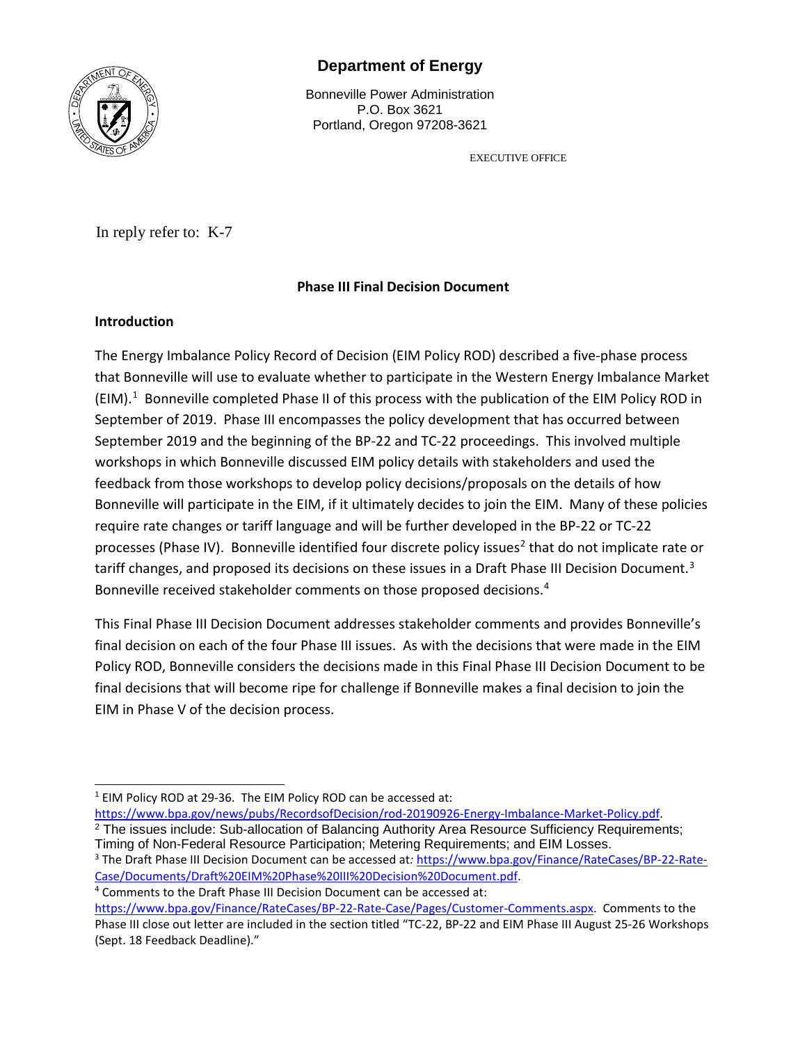

# **Department of Energy**

Bonneville Power Administration P.O. Box 3621 Portland, Oregon 97208-3621

EXECUTIVE OFFICE

In reply refer to: K-7

## **Phase III Final Decision Document**

#### **Introduction**

The Energy Imbalance Policy Record of Decision (EIM Policy ROD) described a five-phase process that Bonneville will use to evaluate whether to participate in the Western Energy Imbalance Market (EIM).<sup>[1](#page-0-0)</sup> Bonneville completed Phase II of this process with the publication of the EIM Policy ROD in September of 2019. Phase III encompasses the policy development that has occurred between September 2019 and the beginning of the BP-22 and TC-22 proceedings. This involved multiple workshops in which Bonneville discussed EIM policy details with stakeholders and used the feedback from those workshops to develop policy decisions/proposals on the details of how Bonneville will participate in the EIM, if it ultimately decides to join the EIM. Many of these policies require rate changes or tariff language and will be further developed in the BP-22 or TC-22 processes (Phase IV). Bonneville identified four discrete policy issues<sup>[2](#page-0-1)</sup> that do not implicate rate or tariff changes, and proposed its decisions on these issues in a Draft Phase III Decision Document.<sup>[3](#page-0-2)</sup> Bonneville received stakeholder comments on those proposed decisions.[4](#page-0-3)

This Final Phase III Decision Document addresses stakeholder comments and provides Bonneville's final decision on each of the four Phase III issues. As with the decisions that were made in the EIM Policy ROD, Bonneville considers the decisions made in this Final Phase III Decision Document to be final decisions that will become ripe for challenge if Bonneville makes a final decision to join the EIM in Phase V of the decision process.

<span id="page-0-3"></span>

 $\overline{a}$ <sup>1</sup> EIM Policy ROD at 29-36. The EIM Policy ROD can be accessed at: [https://www.bpa.gov/news/pubs/RecordsofDecision/rod-20190926-Energy-Imbalance-Market-Policy.pdf.](https://www.bpa.gov/news/pubs/RecordsofDecision/rod-20190926-Energy-Imbalance-Market-Policy.pdf)

<span id="page-0-2"></span><span id="page-0-1"></span><span id="page-0-0"></span> $2$  The issues include: Sub-allocation of Balancing Authority Area Resource Sufficiency Requirements; Timing of Non-Federal Resource Participation; Metering Requirements; and EIM Losses.

<sup>3</sup> The Draft Phase III Decision Document can be accessed at*:* [https://www.bpa.gov/Finance/RateCases/BP-22-Rate-](https://www.bpa.gov/Finance/RateCases/BP-22-Rate-Case/Documents/Draft%20EIM%20Phase%20III%20Decision%20Document.pdf)[Case/Documents/Draft%20EIM%20Phase%20III%20Decision%20Document.pdf.](https://www.bpa.gov/Finance/RateCases/BP-22-Rate-Case/Documents/Draft%20EIM%20Phase%20III%20Decision%20Document.pdf) 4 Comments to the Draft Phase III Decision Document can be accessed at:

[https://www.bpa.gov/Finance/RateCases/BP-22-Rate-Case/Pages/Customer-Comments.aspx.](https://www.bpa.gov/Finance/RateCases/BP-22-Rate-Case/Pages/Customer-Comments.aspx) Comments to the Phase III close out letter are included in the section titled "TC-22, BP-22 and EIM Phase III August 25-26 Workshops (Sept. 18 Feedback Deadline)."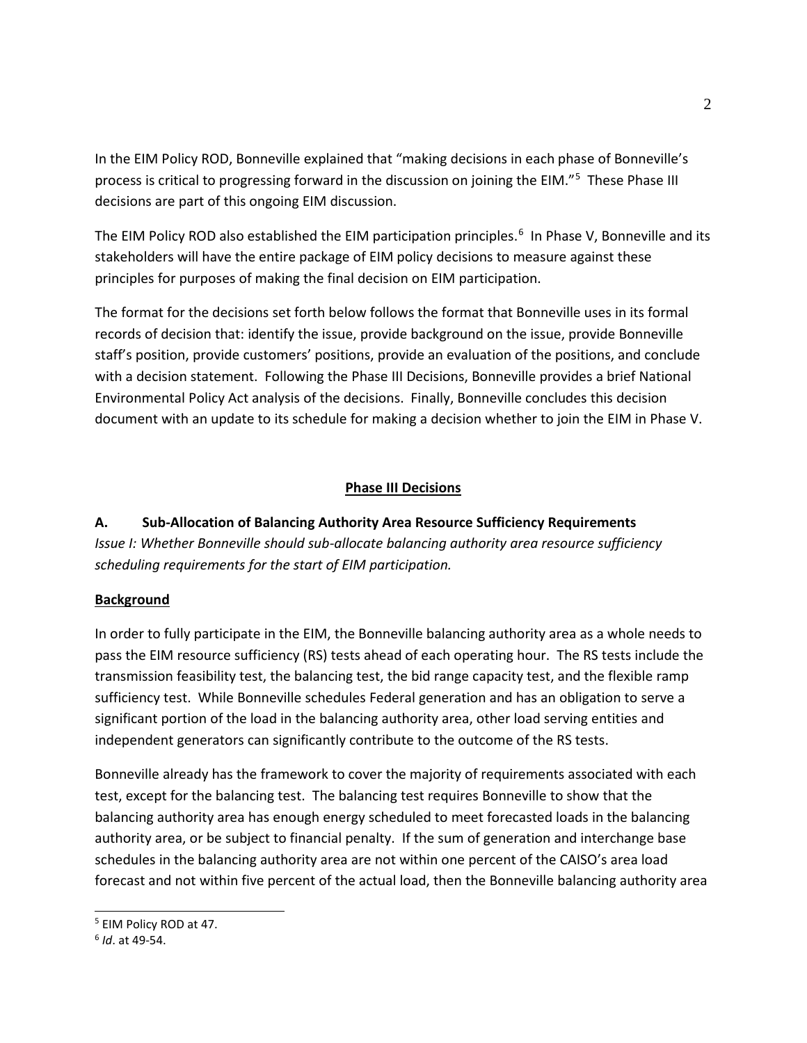In the EIM Policy ROD, Bonneville explained that "making decisions in each phase of Bonneville's process is critical to progressing forward in the discussion on joining the EIM."<sup>[5](#page-1-0)</sup> These Phase III decisions are part of this ongoing EIM discussion.

The EIM Policy ROD also established the EIM participation principles.<sup>[6](#page-1-1)</sup> In Phase V, Bonneville and its stakeholders will have the entire package of EIM policy decisions to measure against these principles for purposes of making the final decision on EIM participation.

The format for the decisions set forth below follows the format that Bonneville uses in its formal records of decision that: identify the issue, provide background on the issue, provide Bonneville staff's position, provide customers' positions, provide an evaluation of the positions, and conclude with a decision statement. Following the Phase III Decisions, Bonneville provides a brief National Environmental Policy Act analysis of the decisions. Finally, Bonneville concludes this decision document with an update to its schedule for making a decision whether to join the EIM in Phase V.

## **Phase III Decisions**

**A. Sub-Allocation of Balancing Authority Area Resource Sufficiency Requirements** *Issue I: Whether Bonneville should sub-allocate balancing authority area resource sufficiency scheduling requirements for the start of EIM participation.*

#### **Background**

In order to fully participate in the EIM, the Bonneville balancing authority area as a whole needs to pass the EIM resource sufficiency (RS) tests ahead of each operating hour. The RS tests include the transmission feasibility test, the balancing test, the bid range capacity test, and the flexible ramp sufficiency test. While Bonneville schedules Federal generation and has an obligation to serve a significant portion of the load in the balancing authority area, other load serving entities and independent generators can significantly contribute to the outcome of the RS tests.

Bonneville already has the framework to cover the majority of requirements associated with each test, except for the balancing test. The balancing test requires Bonneville to show that the balancing authority area has enough energy scheduled to meet forecasted loads in the balancing authority area, or be subject to financial penalty. If the sum of generation and interchange base schedules in the balancing authority area are not within one percent of the CAISO's area load forecast and not within five percent of the actual load, then the Bonneville balancing authority area

<span id="page-1-0"></span><sup>5</sup> EIM Policy ROD at 47.

<span id="page-1-1"></span><sup>6</sup> *Id*. at 49-54.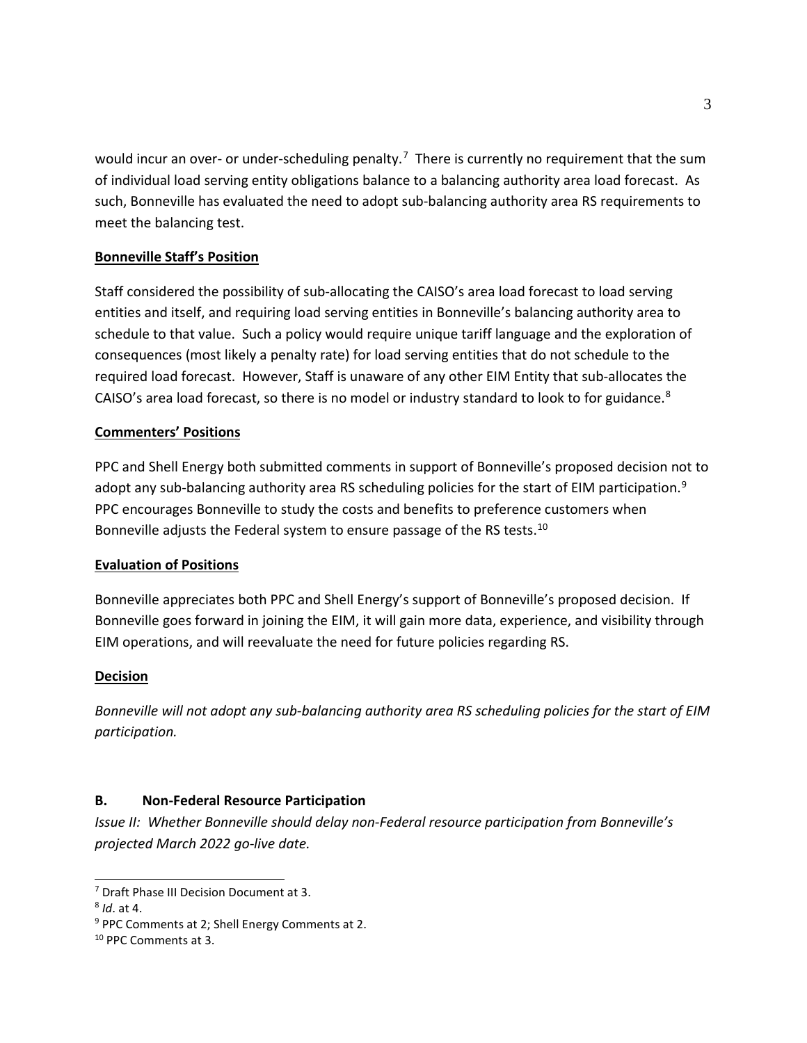would incur an over- or under-scheduling penalty.<sup>[7](#page-2-0)</sup> There is currently no requirement that the sum of individual load serving entity obligations balance to a balancing authority area load forecast. As such, Bonneville has evaluated the need to adopt sub-balancing authority area RS requirements to meet the balancing test.

## **Bonneville Staff's Position**

Staff considered the possibility of sub-allocating the CAISO's area load forecast to load serving entities and itself, and requiring load serving entities in Bonneville's balancing authority area to schedule to that value. Such a policy would require unique tariff language and the exploration of consequences (most likely a penalty rate) for load serving entities that do not schedule to the required load forecast. However, Staff is unaware of any other EIM Entity that sub-allocates the CAISO's area load forecast, so there is no model or industry standard to look to for guidance.[8](#page-2-1)

## **Commenters' Positions**

PPC and Shell Energy both submitted comments in support of Bonneville's proposed decision not to adopt any sub-balancing authority area RS scheduling policies for the start of EIM participation.<sup>[9](#page-2-2)</sup> PPC encourages Bonneville to study the costs and benefits to preference customers when Bonneville adjusts the Federal system to ensure passage of the RS tests.<sup>[10](#page-2-3)</sup>

## **Evaluation of Positions**

Bonneville appreciates both PPC and Shell Energy's support of Bonneville's proposed decision. If Bonneville goes forward in joining the EIM, it will gain more data, experience, and visibility through EIM operations, and will reevaluate the need for future policies regarding RS.

#### **Decision**

*Bonneville will not adopt any sub-balancing authority area RS scheduling policies for the start of EIM participation.*

## **B. Non-Federal Resource Participation**

*Issue II: Whether Bonneville should delay non-Federal resource participation from Bonneville's projected March 2022 go-live date.*

<span id="page-2-0"></span><sup>&</sup>lt;sup>7</sup> Draft Phase III Decision Document at 3.

<span id="page-2-1"></span><sup>8</sup> *Id*. at 4.

<span id="page-2-2"></span><sup>9</sup> PPC Comments at 2; Shell Energy Comments at 2.

<span id="page-2-3"></span><sup>10</sup> PPC Comments at 3.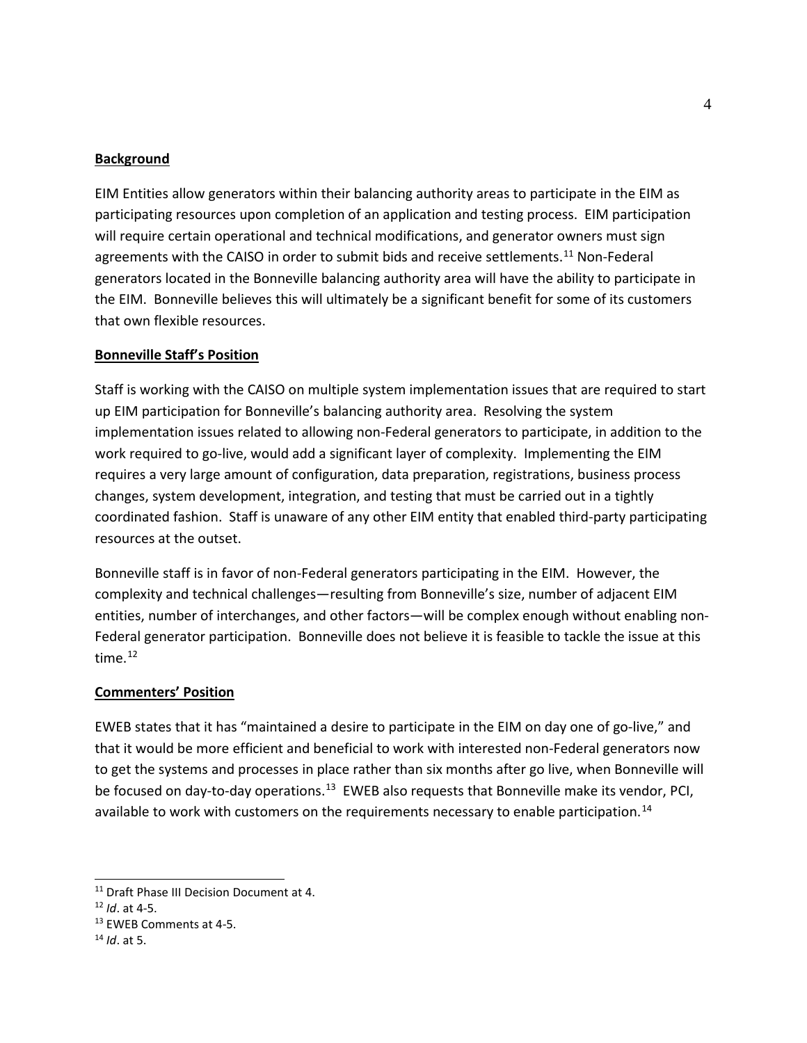#### **Background**

EIM Entities allow generators within their balancing authority areas to participate in the EIM as participating resources upon completion of an application and testing process. EIM participation will require certain operational and technical modifications, and generator owners must sign agreements with the CAISO in order to submit bids and receive settlements.<sup>[11](#page-3-0)</sup> Non-Federal generators located in the Bonneville balancing authority area will have the ability to participate in the EIM. Bonneville believes this will ultimately be a significant benefit for some of its customers that own flexible resources.

#### **Bonneville Staff's Position**

Staff is working with the CAISO on multiple system implementation issues that are required to start up EIM participation for Bonneville's balancing authority area. Resolving the system implementation issues related to allowing non-Federal generators to participate, in addition to the work required to go-live, would add a significant layer of complexity. Implementing the EIM requires a very large amount of configuration, data preparation, registrations, business process changes, system development, integration, and testing that must be carried out in a tightly coordinated fashion. Staff is unaware of any other EIM entity that enabled third-party participating resources at the outset.

Bonneville staff is in favor of non-Federal generators participating in the EIM. However, the complexity and technical challenges—resulting from Bonneville's size, number of adjacent EIM entities, number of interchanges, and other factors—will be complex enough without enabling non-Federal generator participation. Bonneville does not believe it is feasible to tackle the issue at this time.<sup>[12](#page-3-1)</sup>

#### **Commenters' Position**

EWEB states that it has "maintained a desire to participate in the EIM on day one of go-live," and that it would be more efficient and beneficial to work with interested non-Federal generators now to get the systems and processes in place rather than six months after go live, when Bonneville will be focused on day-to-day operations.<sup>[13](#page-3-2)</sup> EWEB also requests that Bonneville make its vendor, PCI, available to work with customers on the requirements necessary to enable participation.<sup>14</sup>

<span id="page-3-0"></span><sup>&</sup>lt;sup>11</sup> Draft Phase III Decision Document at 4.

<span id="page-3-1"></span><sup>12</sup> *Id*. at 4-5.

<span id="page-3-2"></span><sup>13</sup> EWEB Comments at 4-5. 14 *Id*. at 5.

<span id="page-3-3"></span>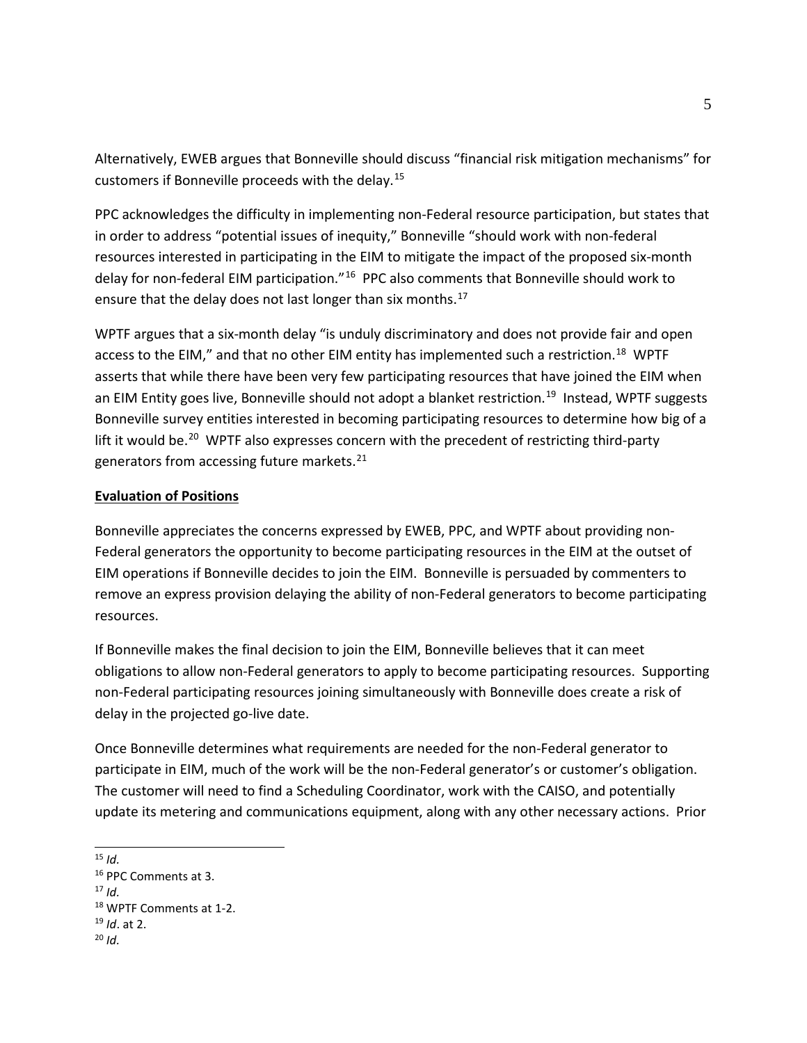Alternatively, EWEB argues that Bonneville should discuss "financial risk mitigation mechanisms" for customers if Bonneville proceeds with the delay.[15](#page-4-0)

PPC acknowledges the difficulty in implementing non-Federal resource participation, but states that in order to address "potential issues of inequity," Bonneville "should work with non-federal resources interested in participating in the EIM to mitigate the impact of the proposed six-month delay for non-federal EIM participation."<sup>16</sup> PPC also comments that Bonneville should work to ensure that the delay does not last longer than six months.<sup>[17](#page-4-2)</sup>

WPTF argues that a six-month delay "is unduly discriminatory and does not provide fair and open access to the EIM," and that no other EIM entity has implemented such a restriction.<sup>[18](#page-4-3)</sup> WPTF asserts that while there have been very few participating resources that have joined the EIM when an EIM Entity goes live, Bonneville should not adopt a blanket restriction.<sup>[19](#page-4-4)</sup> Instead, WPTF suggests Bonneville survey entities interested in becoming participating resources to determine how big of a lift it would be.<sup>20</sup> WPTF also expresses concern with the precedent of restricting third-party generators from accessing future markets.<sup>[21](#page-4-2)</sup>

#### **Evaluation of Positions**

Bonneville appreciates the concerns expressed by EWEB, PPC, and WPTF about providing non-Federal generators the opportunity to become participating resources in the EIM at the outset of EIM operations if Bonneville decides to join the EIM. Bonneville is persuaded by commenters to remove an express provision delaying the ability of non-Federal generators to become participating resources.

If Bonneville makes the final decision to join the EIM, Bonneville believes that it can meet obligations to allow non-Federal generators to apply to become participating resources. Supporting non-Federal participating resources joining simultaneously with Bonneville does create a risk of delay in the projected go-live date.

Once Bonneville determines what requirements are needed for the non-Federal generator to participate in EIM, much of the work will be the non-Federal generator's or customer's obligation. The customer will need to find a Scheduling Coordinator, work with the CAISO, and potentially update its metering and communications equipment, along with any other necessary actions. Prior

 $\overline{a}$ <sup>15</sup> *Id.*

<span id="page-4-2"></span> $17$  *Id.* 

<span id="page-4-5"></span>

<span id="page-4-1"></span><span id="page-4-0"></span><sup>16</sup> PPC Comments at 3.

<span id="page-4-4"></span><span id="page-4-3"></span><sup>18</sup> WPTF Comments at 1-2. 19 *Id*. at 2.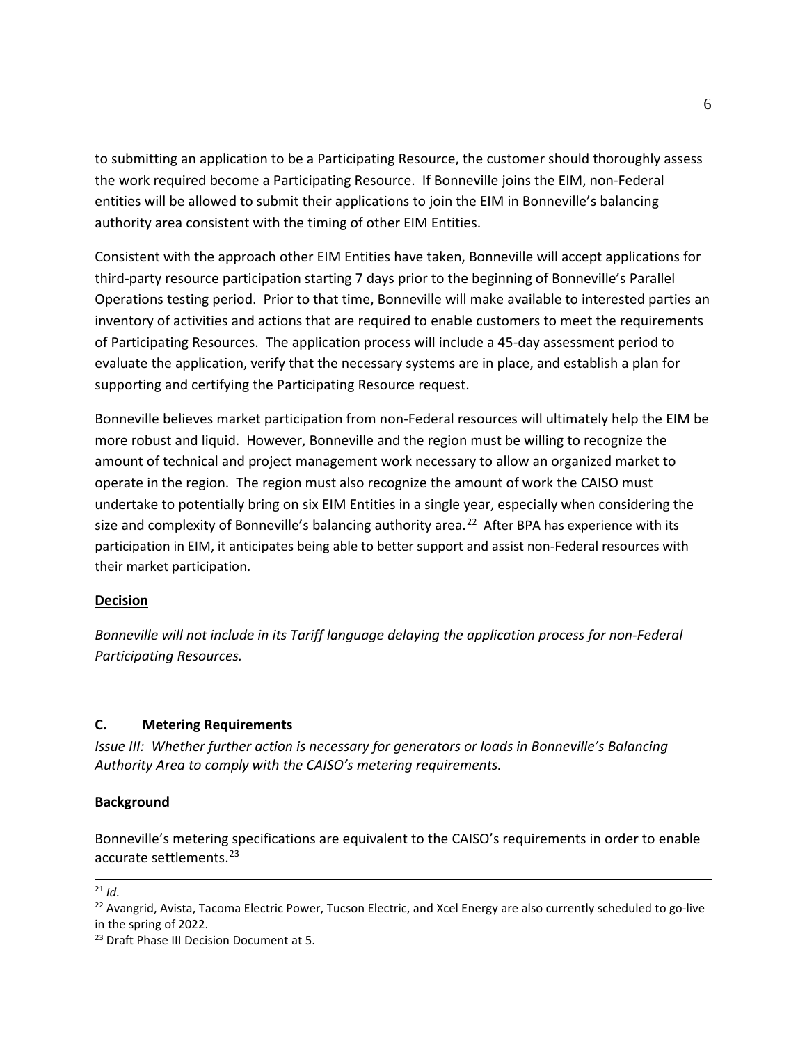to submitting an application to be a Participating Resource, the customer should thoroughly assess the work required become a Participating Resource. If Bonneville joins the EIM, non-Federal entities will be allowed to submit their applications to join the EIM in Bonneville's balancing authority area consistent with the timing of other EIM Entities.

Consistent with the approach other EIM Entities have taken, Bonneville will accept applications for third-party resource participation starting 7 days prior to the beginning of Bonneville's Parallel Operations testing period.Prior to that time, Bonneville will make available to interested parties an inventory of activities and actions that are required to enable customers to meet the requirements of Participating Resources. The application process will include a 45-day assessment period to evaluate the application, verify that the necessary systems are in place, and establish a plan for supporting and certifying the Participating Resource request.

Bonneville believes market participation from non-Federal resources will ultimately help the EIM be more robust and liquid. However, Bonneville and the region must be willing to recognize the amount of technical and project management work necessary to allow an organized market to operate in the region. The region must also recognize the amount of work the CAISO must undertake to potentially bring on six EIM Entities in a single year, especially when considering the size and complexity of Bonneville's balancing authority area.<sup>[22](#page-5-0)</sup> After BPA has experience with its participation in EIM, it anticipates being able to better support and assist non-Federal resources with their market participation.

#### **Decision**

*Bonneville will not include in its Tariff language delaying the application process for non-Federal Participating Resources.*

#### **C. Metering Requirements**

*Issue III: Whether further action is necessary for generators or loads in Bonneville's Balancing Authority Area to comply with the CAISO's metering requirements.*

#### **Background**

Bonneville's metering specifications are equivalent to the CAISO's requirements in order to enable accurate settlements.<sup>23</sup>

 $\overline{a}$ 

<span id="page-5-1"></span><sup>23</sup> Draft Phase III Decision Document at 5.

 $21$  *Id.* 

<span id="page-5-0"></span> $22$  Avangrid, Avista, Tacoma Electric Power, Tucson Electric, and Xcel Energy are also currently scheduled to go-live in the spring of 2022.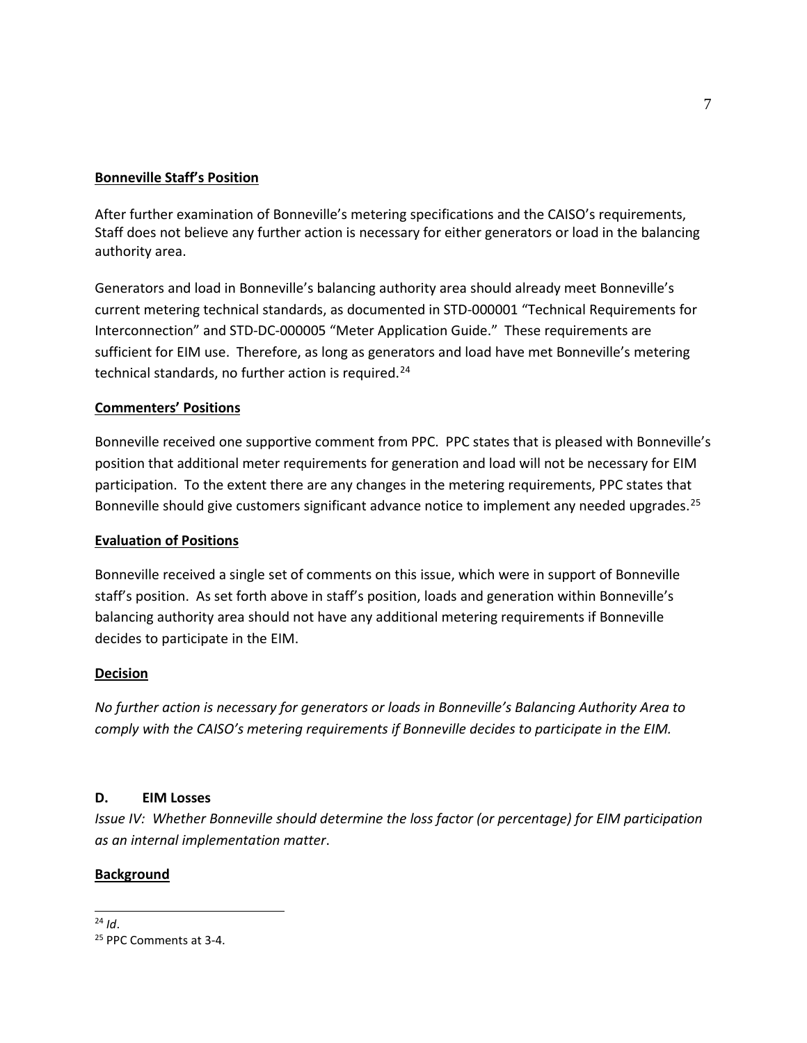## **Bonneville Staff's Position**

After further examination of Bonneville's metering specifications and the CAISO's requirements, Staff does not believe any further action is necessary for either generators or load in the balancing authority area.

Generators and load in Bonneville's balancing authority area should already meet Bonneville's current metering technical standards, as documented in STD-000001 "Technical Requirements for Interconnection" and STD-DC-000005 "Meter Application Guide." These requirements are sufficient for EIM use. Therefore, as long as generators and load have met Bonneville's metering technical standards, no further action is required. $24$ 

## **Commenters' Positions**

Bonneville received one supportive comment from PPC. PPC states that is pleased with Bonneville's position that additional meter requirements for generation and load will not be necessary for EIM participation. To the extent there are any changes in the metering requirements, PPC states that Bonneville should give customers significant advance notice to implement any needed upgrades.<sup>[25](#page-6-1)</sup>

## **Evaluation of Positions**

Bonneville received a single set of comments on this issue, which were in support of Bonneville staff's position. As set forth above in staff's position, loads and generation within Bonneville's balancing authority area should not have any additional metering requirements if Bonneville decides to participate in the EIM.

## **Decision**

*No further action is necessary for generators or loads in Bonneville's Balancing Authority Area to comply with the CAISO's metering requirements if Bonneville decides to participate in the EIM.*

## **D. EIM Losses**

*Issue IV: Whether Bonneville should determine the loss factor (or percentage) for EIM participation as an internal implementation matter*.

## **Background**

## <span id="page-6-0"></span> $24$  Id.

<span id="page-6-1"></span><sup>&</sup>lt;sup>25</sup> PPC Comments at 3-4.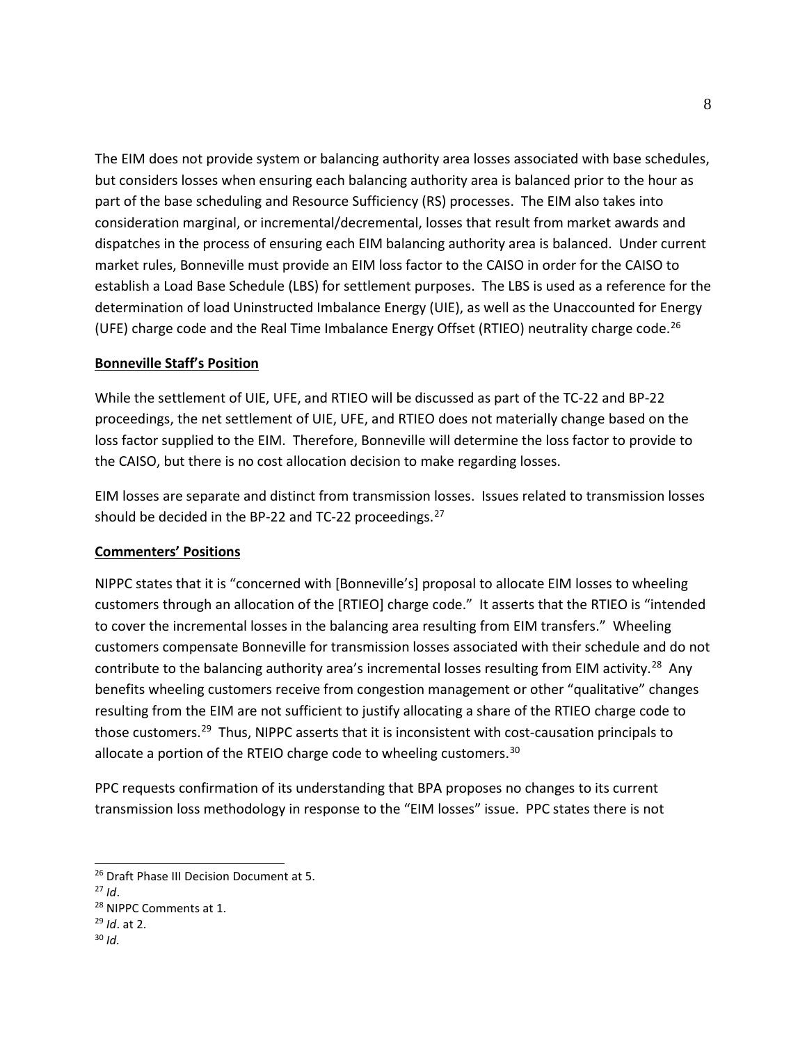The EIM does not provide system or balancing authority area losses associated with base schedules, but considers losses when ensuring each balancing authority area is balanced prior to the hour as part of the base scheduling and Resource Sufficiency (RS) processes. The EIM also takes into consideration marginal, or incremental/decremental, losses that result from market awards and dispatches in the process of ensuring each EIM balancing authority area is balanced. Under current market rules, Bonneville must provide an EIM loss factor to the CAISO in order for the CAISO to establish a Load Base Schedule (LBS) for settlement purposes. The LBS is used as a reference for the determination of load Uninstructed Imbalance Energy (UIE), as well as the Unaccounted for Energy (UFE) charge code and the Real Time Imbalance Energy Offset (RTIEO) neutrality charge code.<sup>[26](#page-7-0)</sup>

## **Bonneville Staff's Position**

While the settlement of UIE, UFE, and RTIEO will be discussed as part of the TC-22 and BP-22 proceedings, the net settlement of UIE, UFE, and RTIEO does not materially change based on the loss factor supplied to the EIM. Therefore, Bonneville will determine the loss factor to provide to the CAISO, but there is no cost allocation decision to make regarding losses.

EIM losses are separate and distinct from transmission losses. Issues related to transmission losses should be decided in the BP-22 and TC-22 proceedings.<sup>[27](#page-7-1)</sup>

#### **Commenters' Positions**

NIPPC states that it is "concerned with [Bonneville's] proposal to allocate EIM losses to wheeling customers through an allocation of the [RTIEO] charge code." It asserts that the RTIEO is "intended to cover the incremental losses in the balancing area resulting from EIM transfers." Wheeling customers compensate Bonneville for transmission losses associated with their schedule and do not contribute to the balancing authority area's incremental losses resulting from EIM activity.<sup>[28](#page-7-2)</sup> Any benefits wheeling customers receive from congestion management or other "qualitative" changes resulting from the EIM are not sufficient to justify allocating a share of the RTIEO charge code to those customers.<sup>29</sup> Thus, NIPPC asserts that it is inconsistent with cost-causation principals to allocate a portion of the RTEIO charge code to wheeling customers.<sup>[30](#page-7-4)</sup>

PPC requests confirmation of its understanding that BPA proposes no changes to its current transmission loss methodology in response to the "EIM losses" issue. PPC states there is not

<span id="page-7-0"></span><sup>&</sup>lt;sup>26</sup> Draft Phase III Decision Document at 5.

<span id="page-7-1"></span> $27$  *Id.* 

<span id="page-7-2"></span><sup>28</sup> NIPPC Comments at 1.

<span id="page-7-3"></span><sup>29</sup> *Id*. at 2.

<span id="page-7-4"></span><sup>30</sup> *Id.*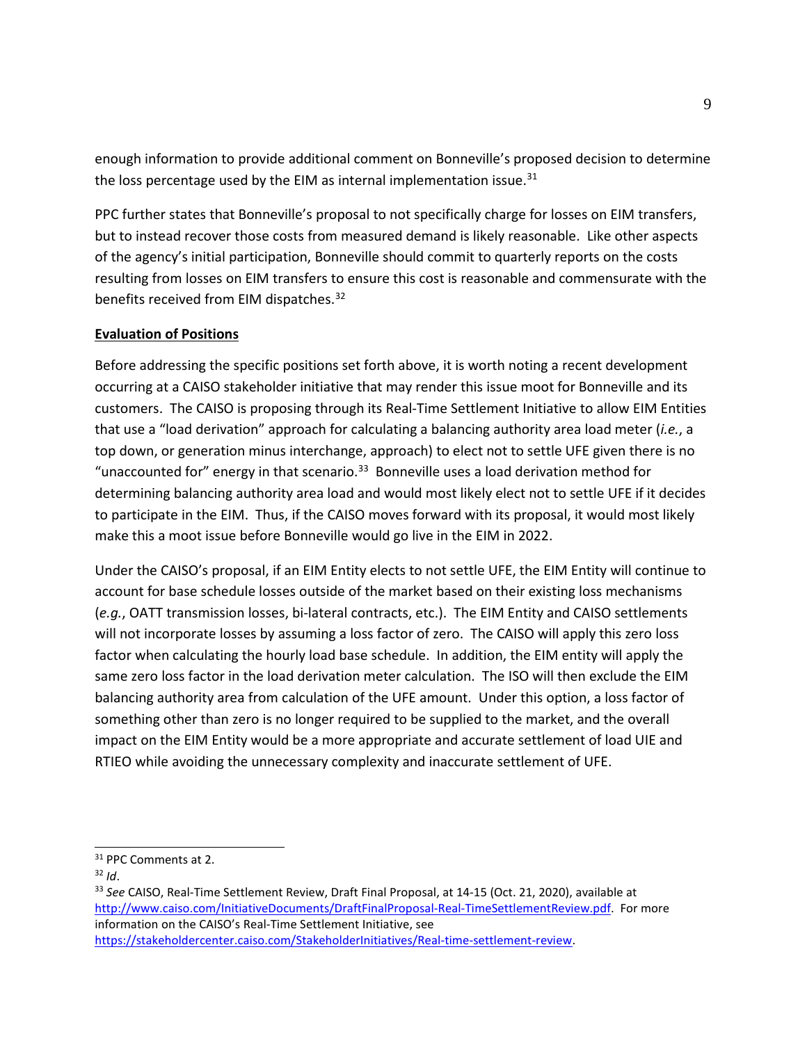enough information to provide additional comment on Bonneville's proposed decision to determine the loss percentage used by the EIM as internal implementation issue. $31$ 

PPC further states that Bonneville's proposal to not specifically charge for losses on EIM transfers, but to instead recover those costs from measured demand is likely reasonable. Like other aspects of the agency's initial participation, Bonneville should commit to quarterly reports on the costs resulting from losses on EIM transfers to ensure this cost is reasonable and commensurate with the benefits received from EIM dispatches.<sup>[32](#page-8-1)</sup>

## **Evaluation of Positions**

Before addressing the specific positions set forth above, it is worth noting a recent development occurring at a CAISO stakeholder initiative that may render this issue moot for Bonneville and its customers. The CAISO is proposing through its Real-Time Settlement Initiative to allow EIM Entities that use a "load derivation" approach for calculating a balancing authority area load meter (*i.e.*, a top down, or generation minus interchange, approach) to elect not to settle UFE given there is no "unaccounted for" energy in that scenario.<sup>33</sup> Bonneville uses a load derivation method for determining balancing authority area load and would most likely elect not to settle UFE if it decides to participate in the EIM. Thus, if the CAISO moves forward with its proposal, it would most likely make this a moot issue before Bonneville would go live in the EIM in 2022.

Under the CAISO's proposal, if an EIM Entity elects to not settle UFE, the EIM Entity will continue to account for base schedule losses outside of the market based on their existing loss mechanisms (*e.g.*, OATT transmission losses, bi-lateral contracts, etc.). The EIM Entity and CAISO settlements will not incorporate losses by assuming a loss factor of zero. The CAISO will apply this zero loss factor when calculating the hourly load base schedule. In addition, the EIM entity will apply the same zero loss factor in the load derivation meter calculation. The ISO will then exclude the EIM balancing authority area from calculation of the UFE amount. Under this option, a loss factor of something other than zero is no longer required to be supplied to the market, and the overall impact on the EIM Entity would be a more appropriate and accurate settlement of load UIE and RTIEO while avoiding the unnecessary complexity and inaccurate settlement of UFE.

<span id="page-8-0"></span><sup>&</sup>lt;sup>31</sup> PPC Comments at 2.

<span id="page-8-2"></span><span id="page-8-1"></span><sup>&</sup>lt;sup>32</sup> *Id.*<br><sup>33</sup> See CAISO, Real-Time Settlement Review, Draft Final Proposal, at 14-15 (Oct. 21, 2020), available at [http://www.caiso.com/InitiativeDocuments/DraftFinalProposal-Real-TimeSettlementReview.pdf.](http://www.caiso.com/InitiativeDocuments/DraftFinalProposal-Real-TimeSettlementReview.pdf) For more information on the CAISO's Real-Time Settlement Initiative, see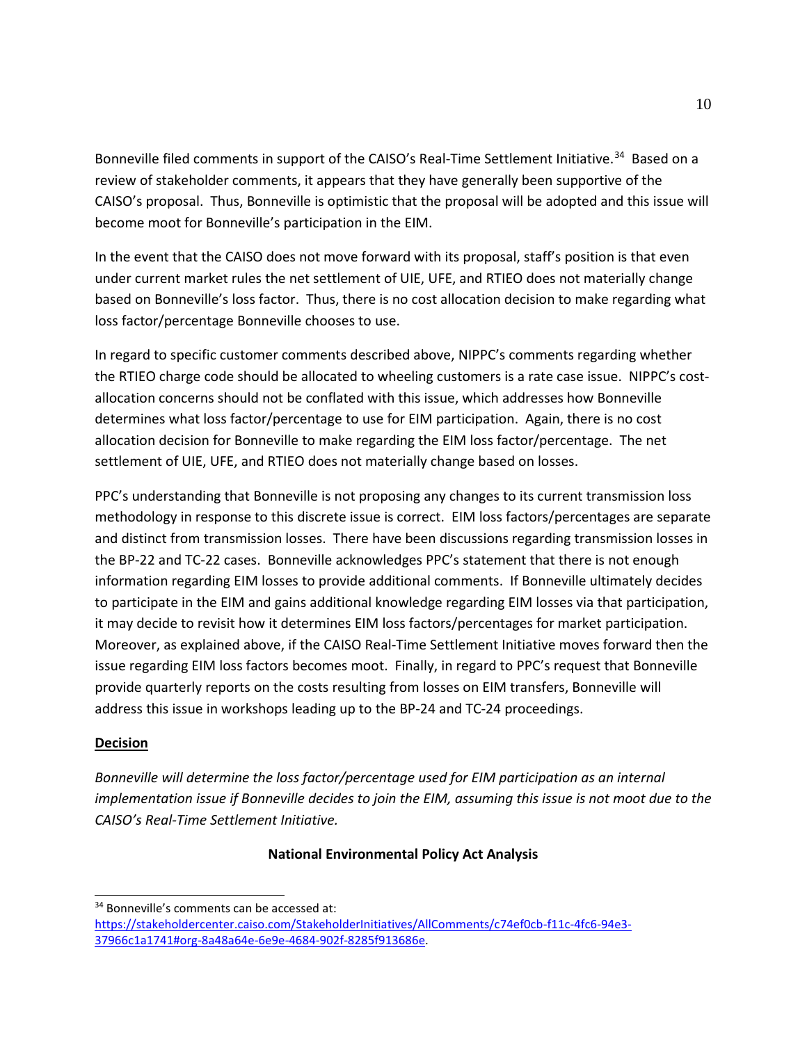Bonneville filed comments in support of the CAISO's Real-Time Settlement Initiative.<sup>[34](#page-9-0)</sup> Based on a review of stakeholder comments, it appears that they have generally been supportive of the CAISO's proposal. Thus, Bonneville is optimistic that the proposal will be adopted and this issue will become moot for Bonneville's participation in the EIM.

In the event that the CAISO does not move forward with its proposal, staff's position is that even under current market rules the net settlement of UIE, UFE, and RTIEO does not materially change based on Bonneville's loss factor. Thus, there is no cost allocation decision to make regarding what loss factor/percentage Bonneville chooses to use.

In regard to specific customer comments described above, NIPPC's comments regarding whether the RTIEO charge code should be allocated to wheeling customers is a rate case issue. NIPPC's costallocation concerns should not be conflated with this issue, which addresses how Bonneville determines what loss factor/percentage to use for EIM participation. Again, there is no cost allocation decision for Bonneville to make regarding the EIM loss factor/percentage. The net settlement of UIE, UFE, and RTIEO does not materially change based on losses.

PPC's understanding that Bonneville is not proposing any changes to its current transmission loss methodology in response to this discrete issue is correct. EIM loss factors/percentages are separate and distinct from transmission losses. There have been discussions regarding transmission losses in the BP-22 and TC-22 cases. Bonneville acknowledges PPC's statement that there is not enough information regarding EIM losses to provide additional comments. If Bonneville ultimately decides to participate in the EIM and gains additional knowledge regarding EIM losses via that participation, it may decide to revisit how it determines EIM loss factors/percentages for market participation. Moreover, as explained above, if the CAISO Real-Time Settlement Initiative moves forward then the issue regarding EIM loss factors becomes moot. Finally, in regard to PPC's request that Bonneville provide quarterly reports on the costs resulting from losses on EIM transfers, Bonneville will address this issue in workshops leading up to the BP-24 and TC-24 proceedings.

## **Decision**

 $\overline{a}$ 

*Bonneville will determine the loss factor/percentage used for EIM participation as an internal implementation issue if Bonneville decides to join the EIM, assuming this issue is not moot due to the CAISO's Real-Time Settlement Initiative.*

#### **National Environmental Policy Act Analysis**

<span id="page-9-0"></span><sup>&</sup>lt;sup>34</sup> Bonneville's comments can be accessed at:

[https://stakeholdercenter.caiso.com/StakeholderInitiatives/AllComments/c74ef0cb-f11c-4fc6-94e3-](https://stakeholdercenter.caiso.com/StakeholderInitiatives/AllComments/c74ef0cb-f11c-4fc6-94e3-37966c1a1741#org-8a48a64e-6e9e-4684-902f-8285f913686e) [37966c1a1741#org-8a48a64e-6e9e-4684-902f-8285f913686e.](https://stakeholdercenter.caiso.com/StakeholderInitiatives/AllComments/c74ef0cb-f11c-4fc6-94e3-37966c1a1741#org-8a48a64e-6e9e-4684-902f-8285f913686e)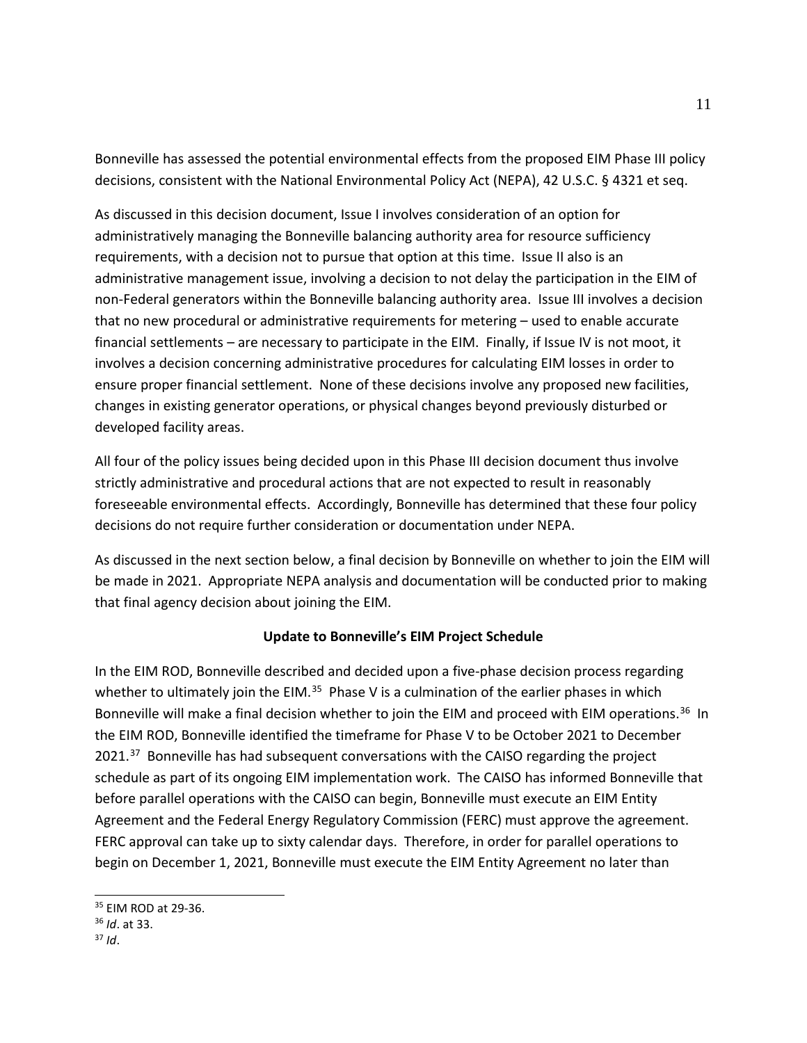Bonneville has assessed the potential environmental effects from the proposed EIM Phase III policy decisions, consistent with the National Environmental Policy Act (NEPA), 42 U.S.C. § 4321 et seq.

As discussed in this decision document, Issue I involves consideration of an option for administratively managing the Bonneville balancing authority area for resource sufficiency requirements, with a decision not to pursue that option at this time. Issue II also is an administrative management issue, involving a decision to not delay the participation in the EIM of non-Federal generators within the Bonneville balancing authority area. Issue III involves a decision that no new procedural or administrative requirements for metering – used to enable accurate financial settlements – are necessary to participate in the EIM. Finally, if Issue IV is not moot, it involves a decision concerning administrative procedures for calculating EIM losses in order to ensure proper financial settlement. None of these decisions involve any proposed new facilities, changes in existing generator operations, or physical changes beyond previously disturbed or developed facility areas.

All four of the policy issues being decided upon in this Phase III decision document thus involve strictly administrative and procedural actions that are not expected to result in reasonably foreseeable environmental effects. Accordingly, Bonneville has determined that these four policy decisions do not require further consideration or documentation under NEPA.

As discussed in the next section below, a final decision by Bonneville on whether to join the EIM will be made in 2021. Appropriate NEPA analysis and documentation will be conducted prior to making that final agency decision about joining the EIM.

## **Update to Bonneville's EIM Project Schedule**

In the EIM ROD, Bonneville described and decided upon a five-phase decision process regarding whether to ultimately join the EIM.<sup>[35](#page-10-0)</sup> Phase V is a culmination of the earlier phases in which Bonneville will make a final decision whether to join the EIM and proceed with EIM operations.<sup>36</sup> In the EIM ROD, Bonneville identified the timeframe for Phase V to be October 2021 to December 2021.<sup>[37](#page-10-2)</sup> Bonneville has had subsequent conversations with the CAISO regarding the project schedule as part of its ongoing EIM implementation work. The CAISO has informed Bonneville that before parallel operations with the CAISO can begin, Bonneville must execute an EIM Entity Agreement and the Federal Energy Regulatory Commission (FERC) must approve the agreement. FERC approval can take up to sixty calendar days. Therefore, in order for parallel operations to begin on December 1, 2021, Bonneville must execute the EIM Entity Agreement no later than

<span id="page-10-0"></span><sup>35</sup> EIM ROD at 29-36.

<span id="page-10-1"></span><sup>36</sup> *Id*. at 33.

<span id="page-10-2"></span><sup>37</sup> *Id*.